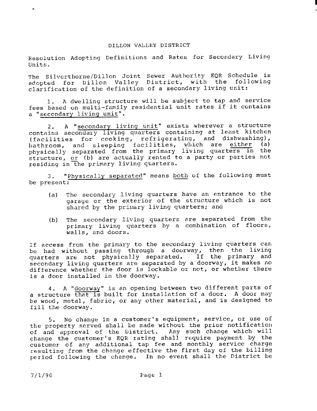## DILLON VALLEY DISTRICT

Resolution Adopting Definitions and Rates for Secondary Living Units .

The Silverthorne/Dillon Joint Sewer Authority EQR Schedule is adopted for Dillon Valley District, with the following clarification of the definition of a secondary living unit:

<sup>1</sup> . A dwelling structure will be subject to tap and service fees based on multi-family residential unit rates if it contains a "secondary living unit".

2. A "secondary living unit" exists wherever a structure contains secondary living quarters containing at least kitchen (facilities for cooking, refrigerating, and dishwashing), bathroom, and sleeping facilities, which are either (a) physically separated from the primary living quarters in the structure, or (b) are actually rented to a party or parties not residing in the primary living quarters .

be present : 3. "Physically separated" means both of the following must

- (a) The secondary living quarters have an entrance to the garage or the exterior of the structure which is not shared by the primary living quarters; and
- (b) The secondary living quarters are separated from the primary living quarters by a combination of floors, walls, and doors.

If access from the primary to the secondary living quarters can be had without passing through a doorway, then the living quarters are not physically separated. If the primary and secondary living quarters are separated by <sup>a</sup> doorway, it makes no difference whether the door is lockable or not, or whether there is <sup>a</sup> door installed in the doorway .

4. A "doorway" is an opening between two different parts of a structure that is built for installation of a door. A door may be wood, metal, fabric, or any other material, and is designed to fill the doorway .

<sup>5</sup> . No change in a customer's equipment, service, or use of the property served shall be made without the prior notification of and approval of the District . Any such change which will change the customer's EQR rating shall require payment by the customer of any additional tap fee and monthly service charge resulting from the change effective the first day of the billing period following the change. In no event shall the District be

7/ 1/90 Page <sup>1</sup>